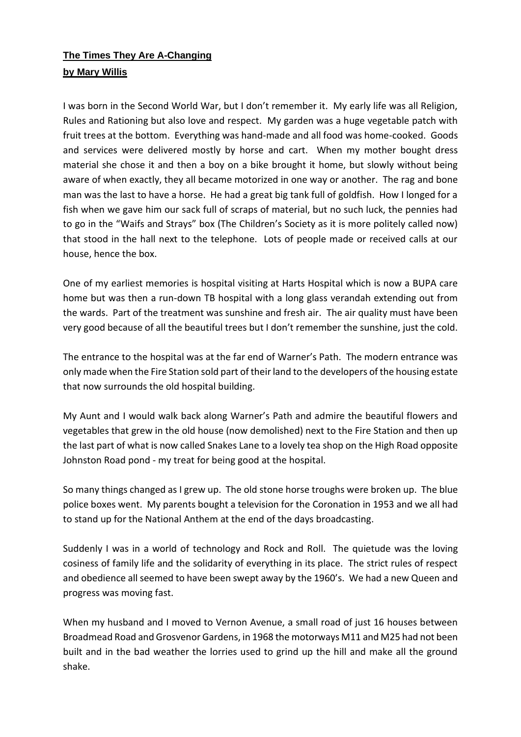## **The Times They Are A-Changing by Mary Willis**

I was born in the Second World War, but I don't remember it. My early life was all Religion, Rules and Rationing but also love and respect. My garden was a huge vegetable patch with fruit trees at the bottom. Everything was hand-made and all food was home-cooked. Goods and services were delivered mostly by horse and cart. When my mother bought dress material she chose it and then a boy on a bike brought it home, but slowly without being aware of when exactly, they all became motorized in one way or another. The rag and bone man was the last to have a horse. He had a great big tank full of goldfish. How I longed for a fish when we gave him our sack full of scraps of material, but no such luck, the pennies had to go in the "Waifs and Strays" box (The Children's Society as it is more politely called now) that stood in the hall next to the telephone. Lots of people made or received calls at our house, hence the box.

One of my earliest memories is hospital visiting at Harts Hospital which is now a BUPA care home but was then a run-down TB hospital with a long glass verandah extending out from the wards. Part of the treatment was sunshine and fresh air. The air quality must have been very good because of all the beautiful trees but I don't remember the sunshine, just the cold.

The entrance to the hospital was at the far end of Warner's Path. The modern entrance was only made when the Fire Station sold part of their land to the developers of the housing estate that now surrounds the old hospital building.

My Aunt and I would walk back along Warner's Path and admire the beautiful flowers and vegetables that grew in the old house (now demolished) next to the Fire Station and then up the last part of what is now called Snakes Lane to a lovely tea shop on the High Road opposite Johnston Road pond - my treat for being good at the hospital.

So many things changed as I grew up. The old stone horse troughs were broken up. The blue police boxes went. My parents bought a television for the Coronation in 1953 and we all had to stand up for the National Anthem at the end of the days broadcasting.

Suddenly I was in a world of technology and Rock and Roll. The quietude was the loving cosiness of family life and the solidarity of everything in its place. The strict rules of respect and obedience all seemed to have been swept away by the 1960's. We had a new Queen and progress was moving fast.

When my husband and I moved to Vernon Avenue, a small road of just 16 houses between Broadmead Road and Grosvenor Gardens, in 1968 the motorways M11 and M25 had not been built and in the bad weather the lorries used to grind up the hill and make all the ground shake.